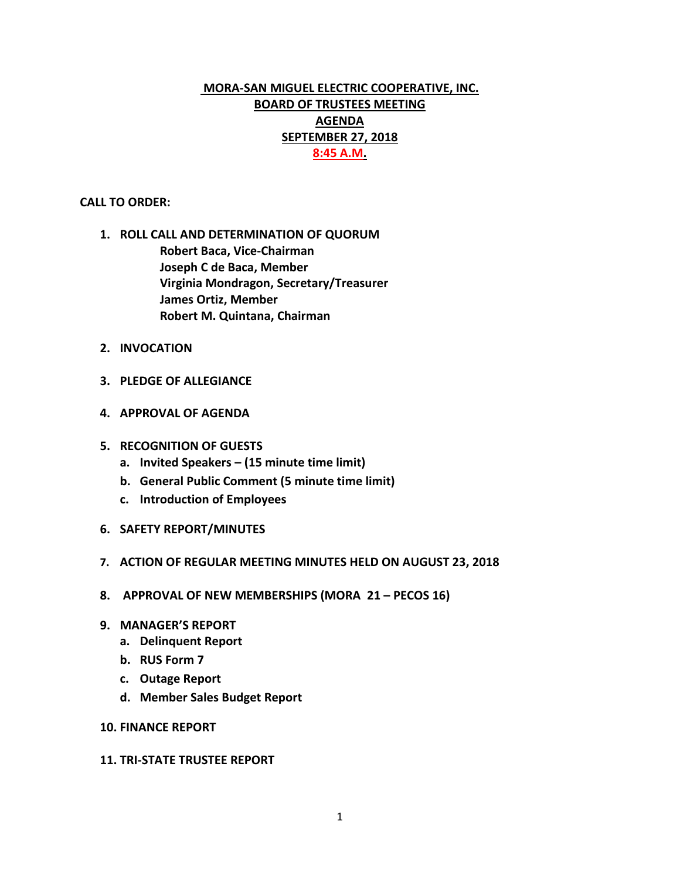# **MORA-SAN MIGUEL ELECTRIC COOPERATIVE, INC. BOARD OF TRUSTEES MEETING AGENDA SEPTEMBER 27, 2018 8:45 A.M.**

#### **CALL TO ORDER:**

- **1. ROLL CALL AND DETERMINATION OF QUORUM Robert Baca, Vice-Chairman Joseph C de Baca, Member Virginia Mondragon, Secretary/Treasurer James Ortiz, Member Robert M. Quintana, Chairman**
- **2. INVOCATION**
- **3. PLEDGE OF ALLEGIANCE**
- **4. APPROVAL OF AGENDA**
- **5. RECOGNITION OF GUESTS**
	- **a. Invited Speakers – (15 minute time limit)**
	- **b. General Public Comment (5 minute time limit)**
	- **c. Introduction of Employees**
- **6. SAFETY REPORT/MINUTES**
- **7. ACTION OF REGULAR MEETING MINUTES HELD ON AUGUST 23, 2018**
- **8. APPROVAL OF NEW MEMBERSHIPS (MORA 21 – PECOS 16)**
- **9. MANAGER'S REPORT**
	- **a. Delinquent Report**
	- **b. RUS Form 7**
	- **c. Outage Report**
	- **d. Member Sales Budget Report**
- **10. FINANCE REPORT**

#### **11. TRI-STATE TRUSTEE REPORT**